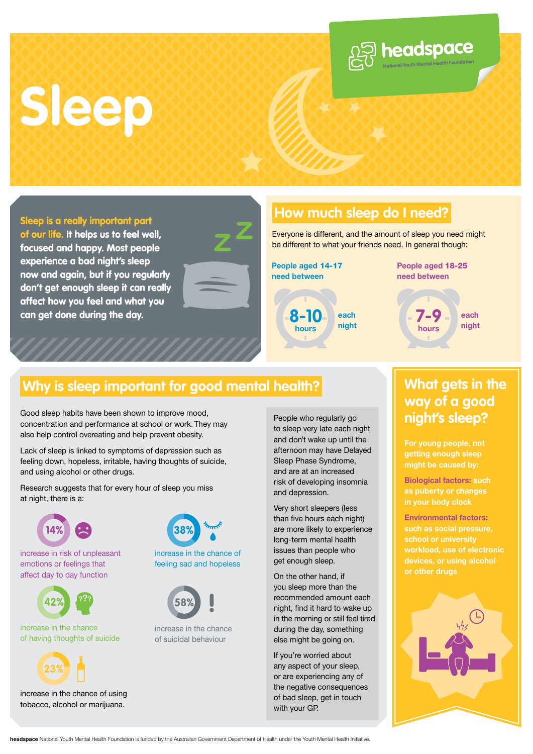## **Sleep**





#### **How much sleep do I need?**

Everyone is different, and the amount of sleep you need might be different to what your friends need. In general though:



**People aged** 18-25 **need between** 

 $\mathcal{Q}$  headspace



### **Why is sleep important for good mental health?** What gets in the

Good sleep habits have been shown to improve mood, concentration and performance at school or work. They may also help control overeating and help prevent obesity.

Lack of sleep is linked to symptoms of depression such as feeling down, hopeless, irritable, having thoughts of suicide, and using alcohol or other drugs.

Research suggests that for every hour of sleep you miss at night, there is a:



increase in risk of unpleasant emotions or feelings that affect day to day function



increase in the chance of having thoughts of suicide



increase in the chance of using tobacco, alcohol or marijuana.



increase in the chance of feeling sad and hopeless



increase in the chance of suicidal behaviour

People who regularly go **night's sleep? to sleep very late each night** and don't wake up until the afternoon may have Delayed Sleep Phase Syndrome, and are at an increased risk of developing insomnia and depression.

Very short sleepers (less than five hours each night) are more likely to experience long-term mental health issues than people who get enough sleep.

On the other hand, if you sleep more than the recommended amount each night, find it hard to wake up in the morning or still feel tired during the day, something else might be going on.

If you're worried about any aspect of your sleep, or are experiencing any of the negative consequences of bad sleep, get in touch with your GP.

### **way of a good**

**For young people, not getting enough sleep might be caused by:** 

**Biological factors: such as puberty or changes in your body clock**

**Environmental factors: such as social pressure, devices, or using alcohol or other drugs**